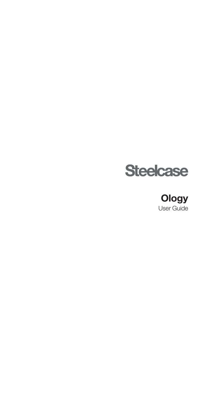

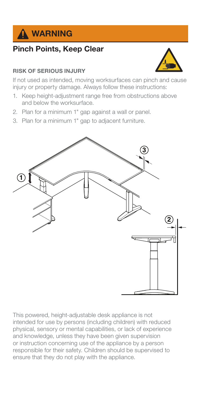

# Pinch Points, Keep Clear

### RISK OF SERIOUS INJURY



If not used as intended, moving worksurfaces can pinch and cause injury or property damage. Always follow these instructions:

- 1. Keep height-adjustment range free from obstructions above **3** and below the worksurface.
- 2. Plan for a minimum 1" gap against a wall or panel.
- 3. Plan for a minimum 1" gap to adjacent furniture.



This powered, height-adjustable desk appliance is not intended for use by persons (including children) with reduced physical, sensory or mental capabilities, or lack of experience and knowledge, unless they have been given supervision or instruction concerning use of the appliance by a person responsible for their safety. Children should be supervised to ensure that they do not play with the appliance.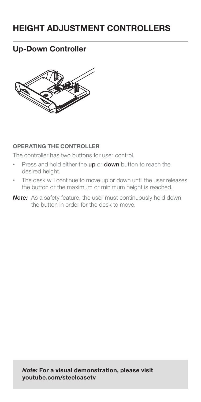# HEIGHT ADJUSTMENT CONTROLLERS

# Up-Down Controller



#### OPERATING THE CONTROLLER

The controller has two buttons for user control.

- Press and hold either the up or down button to reach the desired height.
- The desk will continue to move up or down until the user releases the button or the maximum or minimum height is reached.
- Note: As a safety feature, the user must continuously hold down the button in order for the desk to move.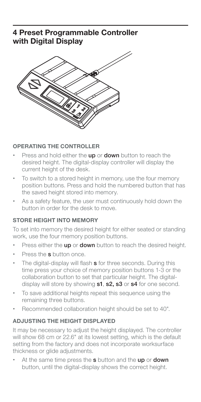## 4 Preset Programmable Controller with Digital Display



### OPERATING THE CONTROLLER

- Press and hold either the up or down button to reach the desired height. The digital-display controller will display the current height of the desk.
- To switch to a stored height in memory, use the four memory position buttons. Press and hold the numbered button that has the saved height stored into memory.
- As a safety feature, the user must continuously hold down the button in order for the desk to move.

#### STORE HEIGHT INTO MEMORY

To set into memory the desired height for either seated or standing work, use the four memory position buttons.

- Press either the up or down button to reach the desired height.
- Press the **s** button once.
- The digital-display will flash s for three seconds. During this time press your choice of memory position buttons 1-3 or the collaboration button to set that particular height. The digitaldisplay will store by showing s1, s2, s3 or s4 for one second.
- To save additional heights repeat this sequence using the remaining three buttons.
- Recommended collaboration height should be set to 40".

#### ADJUSTING THE HEIGHT DISPLAYED

It may be necessary to adjust the height displayed. The controller will show 68 cm or 22.6" at its lowest setting, which is the default setting from the factory and does not incorporate worksurface thickness or glide adjustments.

At the same time press the s button and the up or down button, until the digital-display shows the correct height.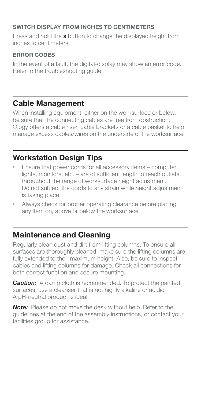### SWITCH DISPLAY FROM INCHES TO CENTIMETERS

Press and hold the **s** button to change the displayed height from inches to centimeters.

### ERROR CODES

In the event of a fault, the digital-display may show an error code. Refer to the troubleshooting guide.

# Cable Management

When installing equipment, either on the worksurface or below, be sure that the connecting cables are free from obstruction. Ology offers a cable riser, cable brackets or a cable basket to help manage excess cables/wires on the underside of the worksurface.

# Workstation Design Tips

- Ensure that power cords for all accessory items computer, lights, monitors, etc. – are of sufficient length to reach outlets throughout the range of worksurface height adjustment. Do not subject the cords to any strain while height adjustment is taking place.
- Always check for proper operating clearance before placing any item on, above or below the worksurface.

## Maintenance and Cleaning

Regularly clean dust and dirt from lifting columns. To ensure all surfaces are thoroughly cleaned, make sure the lifting columns are fully extended to their maximum height. Also, be sure to inspect cables and lifting columns for damage. Check all connections for both correct function and secure mounting.

**Caution:** A damp cloth is recommended. To protect the painted surfaces, use a cleanser that is not highly alkaline or acidic. A pH-neutral product is ideal.

Note: Please do not move the desk without help. Refer to the guidelines at the end of the assembly instructions, or contact your facilities group for assistance.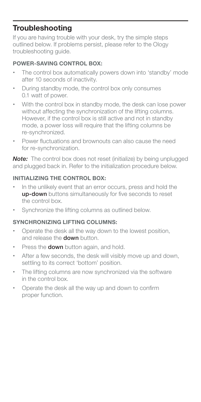## **Troubleshooting**

If you are having trouble with your desk, try the simple steps outlined below. If problems persist, please refer to the Ology troubleshooting guide.

### POWER-SAVING CONTROL BOX:

- The control box automatically powers down into 'standby' mode after 10 seconds of inactivity.
- During standby mode, the control box only consumes 0.1 watt of power.
- With the control box in standby mode, the desk can lose power without affecting the synchronization of the lifting columns. However, if the control box is still active and not in standby mode, a power loss will require that the lifting columns be re-synchronized.
- Power fluctuations and brownouts can also cause the need for re-synchronization.

**Note:** The control box does not reset (initialize) by being unplugged and plugged back in. Refer to the initialization procedure below.

### INITIALIZING THE CONTROL BOX:

- In the unlikely event that an error occurs, press and hold the up-down buttons simultaneously for five seconds to reset the control box.
- Synchronize the lifting columns as outlined below.

#### SYNCHRONIZING LIFTING COLUMNS:

- Operate the desk all the way down to the lowest position, and release the **down** button.
- Press the **down** button again, and hold.
- After a few seconds, the desk will visibly move up and down, settling to its correct 'bottom' position.
- The lifting columns are now synchronized via the software in the control box.
- Operate the desk all the way up and down to confirm proper function.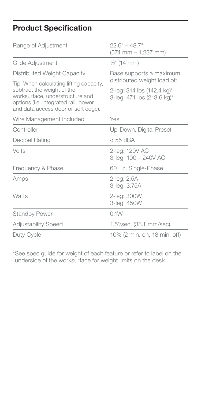# Product Specification

| Range of Adjustment                                                                                                                                                                                                    | $22.6" - 48.7"$<br>$(574$ mm $- 1,237$ mm)               |
|------------------------------------------------------------------------------------------------------------------------------------------------------------------------------------------------------------------------|----------------------------------------------------------|
| Glide Adjustment                                                                                                                                                                                                       | $\frac{1}{2}$ " (14 mm)                                  |
| Distributed Weight Capacity<br>Tip: When calculating lifting capacity,<br>subtract the weight of the<br>worksurface, understructure and<br>options (i.e. integrated rail, power<br>and data access door or soft edge). | Base supports a maximum<br>distributed weight load of:   |
|                                                                                                                                                                                                                        | 2-leg: 314 lbs (142.4 kg)*<br>3-leg: 471 lbs (213.6 kg)* |
| Wire Management Included                                                                                                                                                                                               | Yes                                                      |
| Controller                                                                                                                                                                                                             | Up-Down, Digital Preset                                  |
| Decibel Rating                                                                                                                                                                                                         | $<$ 55 dBA                                               |
| Volts                                                                                                                                                                                                                  | 2-leg: 120V AC<br>3-leg: 100 - 240V AC                   |
| Frequency & Phase                                                                                                                                                                                                      | 60 Hz, Single-Phase                                      |
| Amps                                                                                                                                                                                                                   | 2-leg: 2.5A<br>3-leg: 3.75A                              |
| Watts                                                                                                                                                                                                                  | 2-leg: 300W<br>3-leg: 450W                               |
| <b>Standby Power</b>                                                                                                                                                                                                   | 0.1W                                                     |
| <b>Adjustability Speed</b>                                                                                                                                                                                             | 1.5"/sec. (38.1 mm/sec)                                  |
| Duty Cycle                                                                                                                                                                                                             | 10% (2 min. on, 18 min. off)                             |

\*See spec guide for weight of each feature or refer to label on the underside of the worksurface for weight limits on the desk.